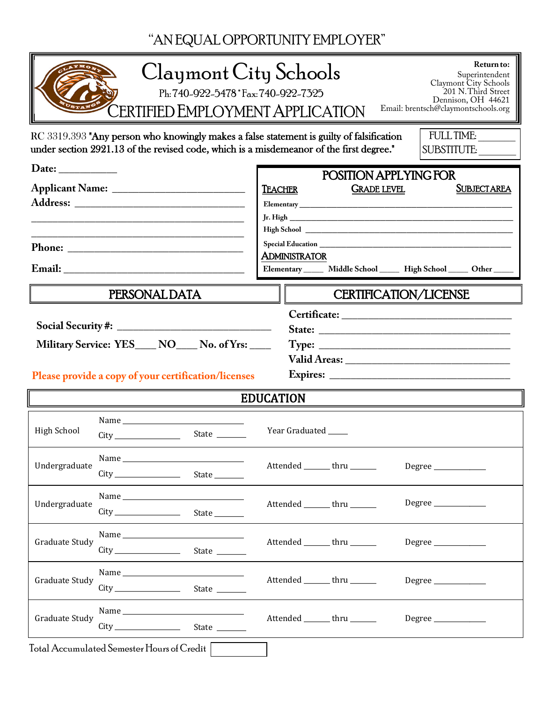"AN EQUAL OPPORTUNITY EMPLOYER"

| Return to:<br>Claymont City Schools<br>Superintendent<br>Claymont City Schools<br>201 N.Third Street<br>Ph: 740-922-5478 * Fax: 740-922-7325<br>Dennison, OH 44621<br>Email: brentsch@claymontschools.org<br>CERTIFIED EMPLOYMENT APPLICATION |                                                                                                                                                                                     |               |                                |                                                                                                                                                                                                                                                                                                       |                   |                    |  |
|-----------------------------------------------------------------------------------------------------------------------------------------------------------------------------------------------------------------------------------------------|-------------------------------------------------------------------------------------------------------------------------------------------------------------------------------------|---------------|--------------------------------|-------------------------------------------------------------------------------------------------------------------------------------------------------------------------------------------------------------------------------------------------------------------------------------------------------|-------------------|--------------------|--|
|                                                                                                                                                                                                                                               | RC 3319.393 "Any person who knowingly makes a false statement is guilty of falsification<br>under section 2921.13 of the revised code, which is a misdemeanor of the first degree." |               |                                |                                                                                                                                                                                                                                                                                                       | <b>FULL TIME:</b> | SUBSTITUTE:        |  |
| Date: $\_\_$<br><u> 2000 - Jan James James James James James James James James James James James James James James James James J</u>                                                                                                          |                                                                                                                                                                                     |               | <b>TEACHER</b>                 | POSITION APPLYING FOR<br><b>GRADE LEVEL</b>                                                                                                                                                                                                                                                           |                   | <b>SUBJECTAREA</b> |  |
|                                                                                                                                                                                                                                               |                                                                                                                                                                                     |               | <b>ADMINISTRATOR</b>           | Special Education New York Contract to the Contract of the Contract of the Contract of the Contract of the Contract of the Contract of the Contract of the Contract of the Contract of the Contract of the Contract of the Con<br>Elementary ______ Middle School ______ High School _____ Other ____ |                   |                    |  |
| PERSONAL DATA                                                                                                                                                                                                                                 |                                                                                                                                                                                     |               |                                | <b>CERTIFICATION/LICENSE</b>                                                                                                                                                                                                                                                                          |                   |                    |  |
| State:<br>Military Service: YES___ NO___ No. of Yrs: ___<br>Please provide a copy of your certification/licenses                                                                                                                              |                                                                                                                                                                                     |               |                                |                                                                                                                                                                                                                                                                                                       |                   |                    |  |
| <b>EDUCATION</b>                                                                                                                                                                                                                              |                                                                                                                                                                                     |               |                                |                                                                                                                                                                                                                                                                                                       |                   |                    |  |
| <b>High School</b>                                                                                                                                                                                                                            |                                                                                                                                                                                     | State _______ | Year Graduated                 |                                                                                                                                                                                                                                                                                                       |                   |                    |  |
| Undergraduate                                                                                                                                                                                                                                 |                                                                                                                                                                                     |               | Attended _______ thru ______   |                                                                                                                                                                                                                                                                                                       |                   |                    |  |
| Undergraduate                                                                                                                                                                                                                                 |                                                                                                                                                                                     |               | Attended _______ thru ______   |                                                                                                                                                                                                                                                                                                       |                   |                    |  |
| Graduate Study                                                                                                                                                                                                                                |                                                                                                                                                                                     |               | Attended ________ thru _______ |                                                                                                                                                                                                                                                                                                       | Degree            |                    |  |
|                                                                                                                                                                                                                                               |                                                                                                                                                                                     |               | Attended ________ thru _______ |                                                                                                                                                                                                                                                                                                       | Degree            |                    |  |
| Graduate Study                                                                                                                                                                                                                                |                                                                                                                                                                                     |               |                                |                                                                                                                                                                                                                                                                                                       |                   |                    |  |
| <b>Graduate Study</b>                                                                                                                                                                                                                         |                                                                                                                                                                                     |               | Attended ________ thru _______ |                                                                                                                                                                                                                                                                                                       |                   |                    |  |